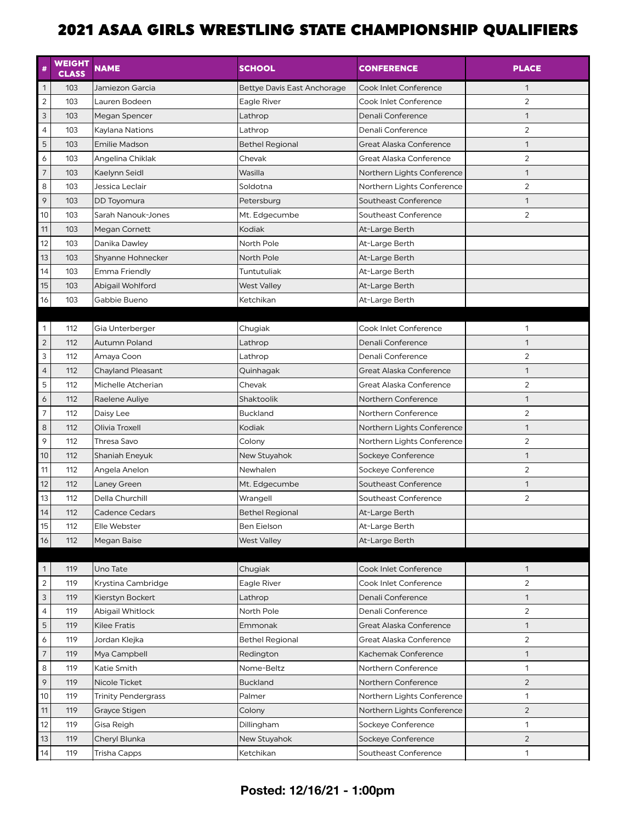| #                        | <b>WEIGHT</b><br><b>CLASS</b> | <b>NAME</b>                | <b>SCHOOL</b>               | <b>CONFERENCE</b>          | <b>PLACE</b>   |
|--------------------------|-------------------------------|----------------------------|-----------------------------|----------------------------|----------------|
| $\mathbf{1}$             | 103                           | Jamiezon Garcia            | Bettye Davis East Anchorage | Cook Inlet Conference      | $\mathbf{1}$   |
| $\overline{c}$           | 103                           | Lauren Bodeen              | Eagle River                 | Cook Inlet Conference      | $\overline{2}$ |
| $\mathsf{3}$             | 103                           | Megan Spencer              | Lathrop                     | Denali Conference          | $\mathbf{1}$   |
| $\overline{4}$           | 103                           | Kaylana Nations            | Lathrop                     | Denali Conference          | 2              |
| 5                        | 103                           | <b>Emilie Madson</b>       | <b>Bethel Regional</b>      | Great Alaska Conference    | $\mathbf{1}$   |
| $\boldsymbol{6}$         | 103                           | Angelina Chiklak           | Chevak                      | Great Alaska Conference    | $\overline{2}$ |
| $\overline{7}$           | 103                           | Kaelynn Seidl              | Wasilla                     | Northern Lights Conference | $\mathbf{1}$   |
| 8                        | 103                           | Jessica Leclair            | Soldotna                    | Northern Lights Conference | $\overline{2}$ |
| 9                        | 103                           | DD Toyomura                | Petersburg                  | Southeast Conference       | $\mathbf{1}$   |
| 10                       | 103                           | Sarah Nanouk-Jones         | Mt. Edgecumbe               | Southeast Conference       | 2              |
| 11                       | 103                           | Megan Cornett              | Kodiak                      | At-Large Berth             |                |
| 12                       | 103                           | Danika Dawley              | North Pole                  | At-Large Berth             |                |
| 13                       | 103                           | Shyanne Hohnecker          | North Pole                  | At-Large Berth             |                |
| 14                       | 103                           | Emma Friendly              | Tuntutuliak                 | At-Large Berth             |                |
| 15                       | 103                           | Abigail Wohlford           | West Valley                 | At-Large Berth             |                |
| 16                       | 103                           | Gabbie Bueno               | Ketchikan                   | At-Large Berth             |                |
|                          |                               |                            |                             |                            |                |
| 1                        | 112                           | Gia Unterberger            | Chugiak                     | Cook Inlet Conference      | 1              |
| $\overline{c}$           | 112                           | Autumn Poland              | Lathrop                     | Denali Conference          | $\mathbf{1}$   |
| 3                        | 112                           | Amaya Coon                 | Lathrop                     | Denali Conference          | $\overline{2}$ |
| $\overline{4}$           | 112                           | <b>Chayland Pleasant</b>   | Quinhagak                   | Great Alaska Conference    | $\mathbf{1}$   |
| 5                        | 112                           | Michelle Atcherian         | Chevak                      | Great Alaska Conference    | $\overline{2}$ |
| $\boldsymbol{6}$         | 112                           | Raelene Auliye             | Shaktoolik                  | Northern Conference        | $\mathbf{1}$   |
| $\overline{\phantom{a}}$ | 112                           | Daisy Lee                  | <b>Buckland</b>             | Northern Conference        | $\overline{2}$ |
| $\,$ 8 $\,$              | 112                           | Olivia Troxell             | Kodiak                      | Northern Lights Conference | $\mathbf{1}$   |
| 9                        | 112                           | Thresa Savo                | Colony                      | Northern Lights Conference | 2              |
| 10                       | 112                           | Shaniah Eneyuk             | New Stuyahok                | Sockeye Conference         | $\mathbf{1}$   |
| 11                       | 112                           | Angela Anelon              | Newhalen                    | Sockeye Conference         | $\overline{2}$ |
| 12                       | 112                           | Laney Green                | Mt. Edgecumbe               | Southeast Conference       | $\mathbf{1}$   |
| 13                       | 112                           | Della Churchill            | Wrangell                    | Southeast Conference       | $\overline{2}$ |
| 14                       | 112                           | Cadence Cedars             | <b>Bethel Regional</b>      | At-Large Berth             |                |
| 15                       | 112                           | Elle Webster               | Ben Eielson                 | At-Large Berth             |                |
| 16                       | 112                           | Megan Baise                | <b>West Valley</b>          | At-Large Berth             |                |
| $\mathbf{1}$             | 119                           | Uno Tate                   | Chugiak                     | Cook Inlet Conference      | $\mathbf{1}$   |
| $\overline{c}$           | 119                           | Krystina Cambridge         | Eagle River                 | Cook Inlet Conference      | 2              |
| $\overline{3}$           | 119                           | Kierstyn Bockert           | Lathrop                     | Denali Conference          | $\mathbf{1}$   |
| $\overline{4}$           | 119                           | Abigail Whitlock           | North Pole                  | Denali Conference          | $\overline{2}$ |
| 5                        | 119                           | <b>Kilee Fratis</b>        | Emmonak                     | Great Alaska Conference    | $\mathbf{1}$   |
| 6                        | 119                           | Jordan Klejka              | <b>Bethel Regional</b>      | Great Alaska Conference    | $\overline{c}$ |
| $\overline{7}$           | 119                           | Mya Campbell               | Redington                   | Kachemak Conference        | $\mathbf{1}$   |
| 8                        | 119                           | Katie Smith                | Nome-Beltz                  | Northern Conference        | $\mathbf{1}$   |
| 9                        | 119                           | Nicole Ticket              | <b>Buckland</b>             | Northern Conference        | $\overline{2}$ |
| 10                       | 119                           | <b>Trinity Pendergrass</b> | Palmer                      | Northern Lights Conference | $\mathbf{1}$   |
| 11                       | 119                           | Grayce Stigen              | Colony                      | Northern Lights Conference | $\overline{2}$ |
| 12                       | 119                           | Gisa Reigh                 | Dillingham                  | Sockeye Conference         | $\mathbf{1}$   |
| 13                       | 119                           | Cheryl Blunka              | New Stuyahok                | Sockeye Conference         | $\overline{2}$ |
| 14                       | 119                           | Trisha Capps               | Ketchikan                   | Southeast Conference       | $\mathbf{1}$   |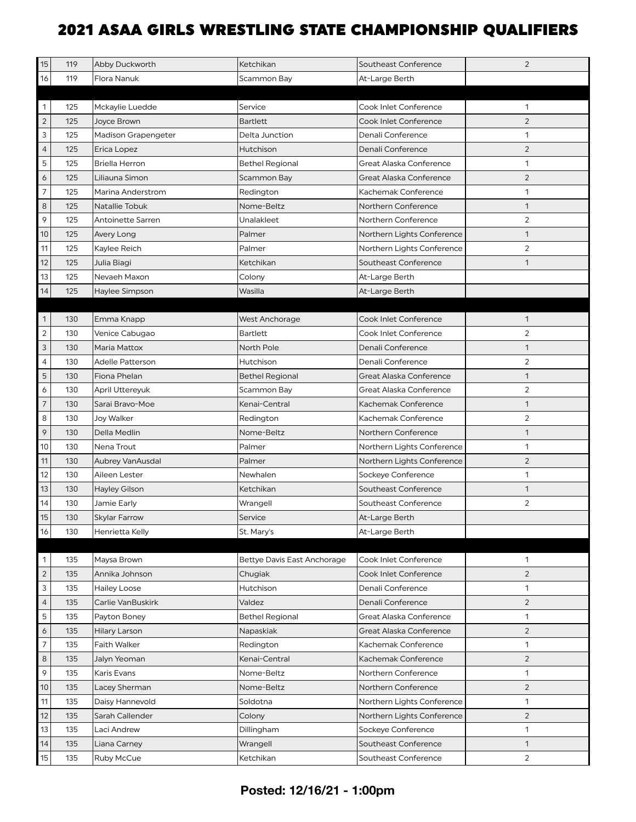| 15               | 119 | Abby Duckworth             | Ketchikan                   | Southeast Conference       | $\overline{2}$ |
|------------------|-----|----------------------------|-----------------------------|----------------------------|----------------|
| 16               | 119 | Flora Nanuk                | Scammon Bay                 | At-Large Berth             |                |
|                  |     |                            |                             |                            |                |
| 1                | 125 | Mckaylie Luedde            | Service                     | Cook Inlet Conference      | 1              |
| $\mathbf 2$      | 125 | Joyce Brown                | <b>Bartlett</b>             | Cook Inlet Conference      | 2              |
| 3                | 125 | <b>Madison Grapengeter</b> | Delta Junction              | Denali Conference          | 1              |
| $\overline{4}$   | 125 | Erica Lopez                | Hutchison                   | Denali Conference          | $\overline{2}$ |
| 5                | 125 | <b>Briella Herron</b>      | <b>Bethel Regional</b>      | Great Alaska Conference    | $\mathbf{1}$   |
| $\boldsymbol{6}$ | 125 | Liliauna Simon             | Scammon Bay                 | Great Alaska Conference    | 2              |
| $\overline{7}$   | 125 | Marina Anderstrom          | Redington                   | Kachemak Conference        | $\mathbf{1}$   |
| $\,8\,$          | 125 | Natallie Tobuk             | Nome-Beltz                  | Northern Conference        | $\mathbf{1}$   |
| 9                | 125 | Antoinette Sarren          | Unalakleet                  | Northern Conference        | $\sqrt{2}$     |
| 10               | 125 | Avery Long                 | Palmer                      | Northern Lights Conference | $\mathbf{1}$   |
| 11               | 125 | Kaylee Reich               | Palmer                      | Northern Lights Conference | $\overline{2}$ |
| 12               | 125 | Julia Biagi                | Ketchikan                   | Southeast Conference       | 1              |
| 13               | 125 | Nevaeh Maxon               | Colony                      | At-Large Berth             |                |
| 14               | 125 | Haylee Simpson             | Wasilla                     | At-Large Berth             |                |
|                  |     |                            |                             |                            |                |
| 1                | 130 | Emma Knapp                 | West Anchorage              | Cook Inlet Conference      | $\mathbf{1}$   |
| $\overline{c}$   | 130 | Venice Cabugao             | Bartlett                    | Cook Inlet Conference      | 2              |
| 3                | 130 | Maria Mattox               | North Pole                  | Denali Conference          | $\mathbf{1}$   |
| 4                | 130 | Adelle Patterson           | Hutchison                   | Denali Conference          | 2              |
| 5                | 130 | Fiona Phelan               | <b>Bethel Regional</b>      | Great Alaska Conference    | $\mathbf{1}$   |
| 6                | 130 | April Uttereyuk            | Scammon Bay                 | Great Alaska Conference    | $\overline{2}$ |
| $\overline{7}$   | 130 | Sarai Bravo-Moe            | Kenai-Central               | Kachemak Conference        | $\mathbf{1}$   |
| 8                | 130 | Joy Walker                 | Redington                   | Kachemak Conference        | $\overline{2}$ |
| 9                | 130 | Della Medlin               | Nome-Beltz                  | Northern Conference        | $\mathbf{1}$   |
| 10               | 130 | Nena Trout                 | Palmer                      | Northern Lights Conference | 1              |
| 11               | 130 | Aubrey VanAusdal           | Palmer                      | Northern Lights Conference | $\overline{2}$ |
| 12               | 130 | Aileen Lester              | Newhalen                    | Sockeye Conference         | $\mathbf{1}$   |
| 13               | 130 | <b>Hayley Gilson</b>       | Ketchikan                   | Southeast Conference       | $\mathbf{1}$   |
| 14               | 130 | Jamie Early                | Wrangell                    | Southeast Conference       | $\overline{2}$ |
| 15               | 130 | Skylar Farrow              | Service                     | At-Large Berth             |                |
| 16               | 130 | Henrietta Kelly            | St. Mary's                  | At-Large Berth             |                |
|                  |     |                            |                             |                            |                |
| 1                | 135 | Maysa Brown                | Bettye Davis East Anchorage | Cook Inlet Conference      | 1              |
| $\overline{c}$   | 135 | Annika Johnson             | Chugiak                     | Cook Inlet Conference      | $\overline{2}$ |
| 3                | 135 | <b>Hailey Loose</b>        | <b>Hutchison</b>            | Denali Conference          | $\mathbf{1}$   |
| $\overline{4}$   | 135 | Carlie VanBuskirk          | Valdez                      | Denali Conference          | 2              |
| 5                | 135 | Payton Boney               | <b>Bethel Regional</b>      | Great Alaska Conference    | $\mathbf{1}$   |
| 6                | 135 | Hilary Larson              | Napaskiak                   | Great Alaska Conference    | $\overline{2}$ |
| 7                | 135 | Faith Walker               | Redington                   | Kachemak Conference        | $\mathbf{1}$   |
| 8                | 135 | Jalyn Yeoman               | Kenai-Central               | Kachemak Conference        | 2              |
| 9                | 135 | Karis Evans                | Nome-Beltz                  | Northern Conference        | $\mathbf{1}$   |
| 10               | 135 | Lacey Sherman              | Nome-Beltz                  | Northern Conference        | $\overline{2}$ |
| 11               | 135 | Daisy Hannevold            | Soldotna                    | Northern Lights Conference | 1              |
| 12               | 135 | Sarah Callender            | Colony                      | Northern Lights Conference | 2              |
| 13               | 135 | Laci Andrew                | Dillingham                  | Sockeye Conference         | 1              |
| 14               | 135 | Liana Carney               | Wrangell                    | Southeast Conference       | $\mathbf{1}$   |
| 15               | 135 | Ruby McCue                 | Ketchikan                   | Southeast Conference       | 2              |

#### **Posted: 12/16/21 - 1:00pm**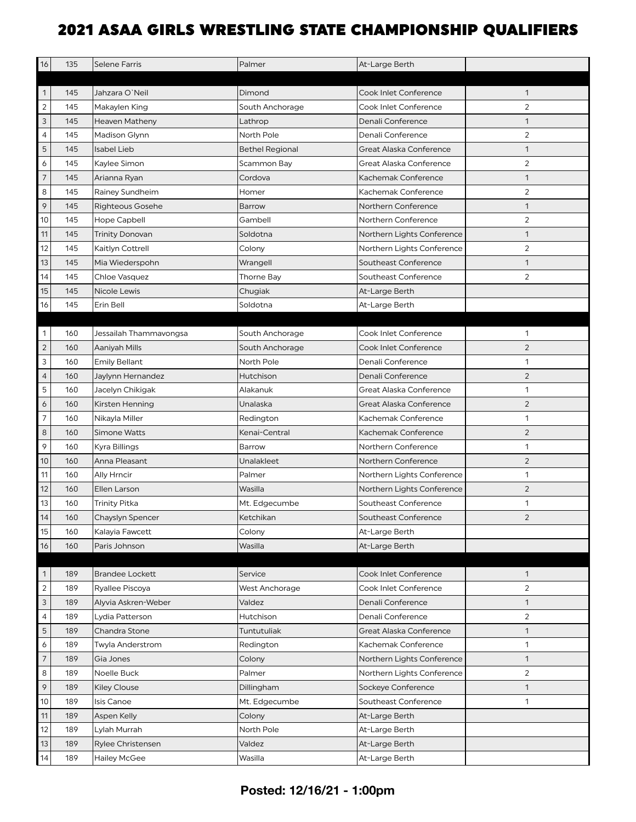| 16                       | 135 | <b>Selene Farris</b>    | Palmer                 | At-Large Berth             |                |
|--------------------------|-----|-------------------------|------------------------|----------------------------|----------------|
|                          |     |                         |                        |                            |                |
| 1                        | 145 | Jahzara O'Neil          | Dimond                 | Cook Inlet Conference      | 1              |
| $\overline{2}$           | 145 | Makaylen King           | South Anchorage        | Cook Inlet Conference      | $\overline{2}$ |
| 3                        | 145 | <b>Heaven Matheny</b>   | Lathrop                | Denali Conference          | $\mathbf{1}$   |
| 4                        | 145 | Madison Glynn           | North Pole             | Denali Conference          | $\overline{2}$ |
| 5                        | 145 | <b>Isabel Lieb</b>      | <b>Bethel Regional</b> | Great Alaska Conference    | $\mathbf{1}$   |
| 6                        | 145 | Kaylee Simon            | Scammon Bay            | Great Alaska Conference    | $\overline{2}$ |
| $\overline{7}$           | 145 | Arianna Ryan            | Cordova                | Kachemak Conference        | $\mathbf{1}$   |
| 8                        | 145 | Rainey Sundheim         | Homer                  | Kachemak Conference        | 2              |
| $\mathsf{\varphi}$       | 145 | <b>Righteous Gosehe</b> | <b>Barrow</b>          | Northern Conference        | $\mathbf{1}$   |
| 10                       | 145 | Hope Capbell            | Gambell                | Northern Conference        | 2              |
| 11                       | 145 | <b>Trinity Donovan</b>  | Soldotna               | Northern Lights Conference | $\mathbf{1}$   |
| 12                       | 145 | Kaitlyn Cottrell        | Colony                 | Northern Lights Conference | $\overline{2}$ |
| 13                       | 145 | Mia Wiederspohn         | Wrangell               | Southeast Conference       | $\mathbf{1}$   |
| 14                       | 145 | Chloe Vasquez           | <b>Thorne Bay</b>      | Southeast Conference       | 2              |
| 15                       | 145 | Nicole Lewis            | Chugiak                | At-Large Berth             |                |
| 16                       | 145 | Erin Bell               | Soldotna               | At-Large Berth             |                |
|                          |     |                         |                        |                            |                |
| 1                        | 160 | Jessailah Thammavongsa  | South Anchorage        | Cook Inlet Conference      | 1              |
| $\sqrt{2}$               | 160 | Aaniyah Mills           | South Anchorage        | Cook Inlet Conference      | $\overline{2}$ |
| 3                        | 160 | <b>Emily Bellant</b>    | North Pole             | Denali Conference          | 1              |
| $\overline{4}$           | 160 | Jaylynn Hernandez       | Hutchison              | Denali Conference          | $\overline{2}$ |
| 5                        | 160 | Jacelyn Chikigak        | Alakanuk               | Great Alaska Conference    | $\mathbf{1}$   |
| 6                        | 160 | Kirsten Henning         | Unalaska               | Great Alaska Conference    | $\overline{2}$ |
| $\overline{7}$           | 160 | Nikayla Miller          | Redington              | Kachemak Conference        | $\mathbf{1}$   |
| 8                        | 160 | Simone Watts            | Kenai-Central          | Kachemak Conference        | $\overline{c}$ |
| 9                        | 160 | Kyra Billings           | Barrow                 | Northern Conference        | $\mathbf{1}$   |
| 10                       | 160 | Anna Pleasant           | Unalakleet             | Northern Conference        | $\overline{2}$ |
| 11                       | 160 | Ally Hrncir             | Palmer                 | Northern Lights Conference | $\mathbf{1}$   |
| 12                       | 160 | Ellen Larson            | Wasilla                | Northern Lights Conference | $\overline{2}$ |
| 13                       | 160 | <b>Trinity Pitka</b>    | Mt. Edgecumbe          | Southeast Conference       | 1              |
| 14                       | 160 | Chayslyn Spencer        | Ketchikan              | Southeast Conference       | $\overline{2}$ |
| 15                       | 160 | Kalayia Fawcett         | Colony                 | At-Large Berth             |                |
| 16                       | 160 | Paris Johnson           | Wasilla                | At-Large Berth             |                |
|                          |     |                         |                        |                            |                |
| $\mathbf{1}$             | 189 | <b>Brandee Lockett</b>  | Service                | Cook Inlet Conference      | $\mathbf{1}$   |
| $\overline{c}$           | 189 | Ryallee Piscoya         | West Anchorage         | Cook Inlet Conference      | $\overline{c}$ |
| 3                        | 189 | Alyvia Askren-Weber     | Valdez                 | Denali Conference          | $\mathbf{1}$   |
| $\overline{4}$           | 189 | Lydia Patterson         | Hutchison              | Denali Conference          | $\overline{c}$ |
| $\mathbf 5$              | 189 | Chandra Stone           | Tuntutuliak            | Great Alaska Conference    | $\mathbf{1}$   |
| 6                        | 189 | Twyla Anderstrom        | Redington              | Kachemak Conference        | $\mathbf{1}$   |
| $\overline{\phantom{a}}$ | 189 | Gia Jones               | Colony                 | Northern Lights Conference | $\mathbf{1}$   |
| 8                        | 189 | Noelle Buck             | Palmer                 | Northern Lights Conference | $\overline{2}$ |
| 9                        | 189 | <b>Kiley Clouse</b>     | Dillingham             | Sockeye Conference         | $\mathbf{1}$   |
| $10$                     | 189 | Isis Canoe              | Mt. Edgecumbe          | Southeast Conference       | $\mathbf{1}$   |
| 11                       | 189 | Aspen Kelly             | Colony                 | At-Large Berth             |                |
| 12                       | 189 | Lylah Murrah            | North Pole             | At-Large Berth             |                |
| 13                       | 189 | Rylee Christensen       | Valdez                 | At-Large Berth             |                |
| 14                       | 189 | <b>Hailey McGee</b>     | Wasilla                | At-Large Berth             |                |

#### **Posted: 12/16/21 - 1:00pm**